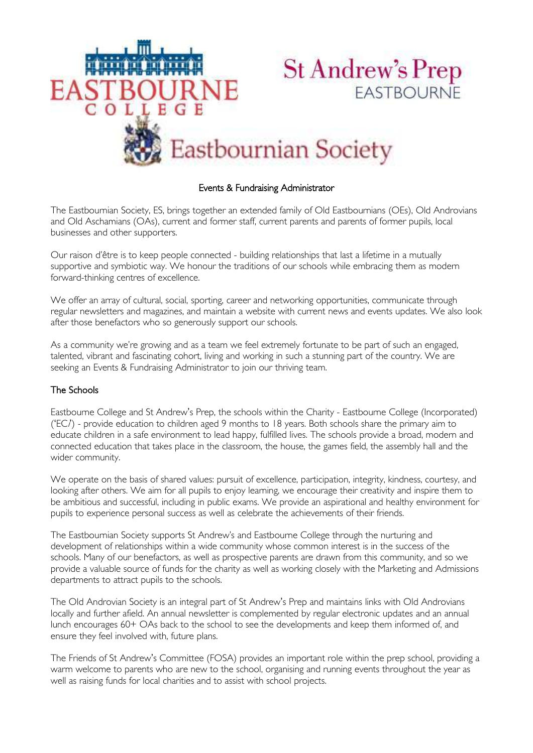

# Events & Fundraising Administrator

The Eastbournian Society, ES, brings together an extended family of Old Eastbournians (OEs), Old Androvians and Old Aschamians (OAs), current and former staff, current parents and parents of former pupils, local businesses and other supporters.

Our raison d'être is to keep people connected - building relationships that last a lifetime in a mutually supportive and symbiotic way. We honour the traditions of our schools while embracing them as modern forward-thinking centres of excellence.

We offer an array of cultural, social, sporting, career and networking opportunities, communicate through regular newsletters and magazines, and maintain a website with current news and events updates. We also look after those benefactors who so generously support our schools.

As a community we're growing and as a team we feel extremely fortunate to be part of such an engaged, talented, vibrant and fascinating cohort, living and working in such a stunning part of the country. We are seeking an Events & Fundraising Administrator to join our thriving team.

## The Schools

Eastbourne College and St Andrew's Prep, the schools within the Charity - Eastbourne College (Incorporated)  $(EC<sub>i</sub>)$  - provide education to children aged 9 months to 18 years. Both schools share the primary aim to educate children in a safe environment to lead happy, fulfilled lives. The schools provide a broad, modern and connected education that takes place in the classroom, the house, the games field, the assembly hall and the wider community.

We operate on the basis of shared values: pursuit of excellence, participation, integrity, kindness, courtesy, and looking after others. We aim for all pupils to enjoy learning, we encourage their creativity and inspire them to be ambitious and successful, including in public exams. We provide an aspirational and healthy environment for pupils to experience personal success as well as celebrate the achievements of their friends.

The Eastbournian Society supports St Andrew's and Eastbourne College through the nurturing and development of relationships within a wide community whose common interest is in the success of the schools. Many of our benefactors, as well as prospective parents are drawn from this community, and so we provide a valuable source of funds for the charity as well as working closely with the Marketing and Admissions departments to attract pupils to the schools.

The Old Androvian Society is an integral part of St Andrew's Prep and maintains links with Old Androvians locally and further afield. An annual newsletter is complemented by regular electronic updates and an annual lunch encourages 60+ OAs back to the school to see the developments and keep them informed of, and ensure they feel involved with, future plans.

The Friends of St Andrew's Committee (FOSA) provides an important role within the prep school, providing a warm welcome to parents who are new to the school, organising and running events throughout the year as well as raising funds for local charities and to assist with school projects.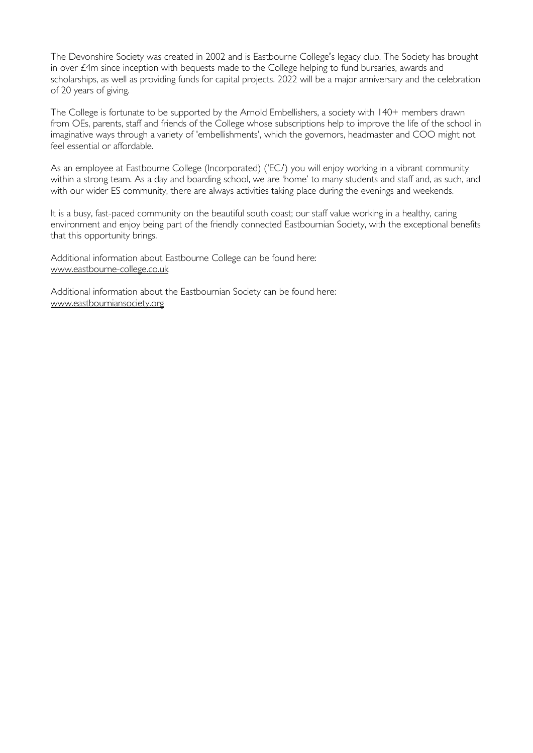The Devonshire Society was created in 2002 and is Eastbourne College's legacy club. The Society has brought in over £4m since inception with bequests made to the College helping to fund bursaries, awards and scholarships, as well as providing funds for capital projects. 2022 will be a major anniversary and the celebration of 20 years of giving.

The College is fortunate to be supported by the Arnold Embellishers, a society with 140+ members drawn from OEs, parents, staff and friends of the College whose subscriptions help to improve the life of the school in imaginative ways through a variety of 'embellishments', which the governors, headmaster and COO might not feel essential or affordable.

As an employee at Eastbourne College (Incorporated) ('EC*i*) you will enjoy working in a vibrant community within a strong team. As a day and boarding school, we are 'home' to many students and staff and, as such, and with our wider ES community, there are always activities taking place during the evenings and weekends.

It is a busy, fast-paced community on the beautiful south coast; our staff value working in a healthy, caring environment and enjoy being part of the friendly connected Eastbournian Society, with the exceptional benefits that this opportunity brings.

Additional information about Eastbourne College can be found here: [www.eastbourne-college.co.uk](http://www.eastbourne-college.co.uk/) 

Additional information about the Eastbournian Society can be found here: [www.eastbourniansociety.org](http://www.eastbourniansociety.org/)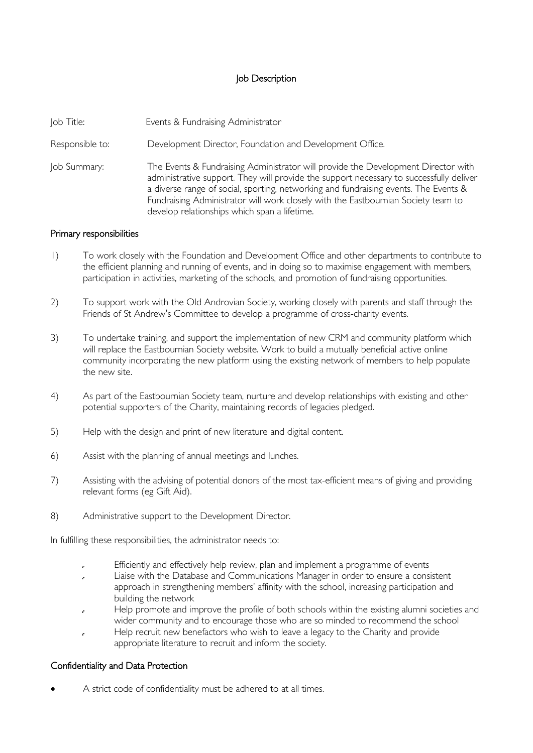## Job Description

| Job Title: | Events & Fundraising Administrator |
|------------|------------------------------------|
|            |                                    |

Responsible to: Development Director, Foundation and Development Office.

Job Summary: The Events & Fundraising Administrator will provide the Development Director with administrative support. They will provide the support necessary to successfully deliver a diverse range of social, sporting, networking and fundraising events. The Events & Fundraising Administrator will work closely with the Eastbournian Society team to develop relationships which span a lifetime.

#### Primary responsibilities

- 1) To work closely with the Foundation and Development Office and other departments to contribute to the efficient planning and running of events, and in doing so to maximise engagement with members, participation in activities, marketing of the schools, and promotion of fundraising opportunities.
- 2) To support work with the Old Androvian Society, working closely with parents and staff through the Friends of St Andrew's Committee to develop a programme of cross-charity events.
- 3) To undertake training, and support the implementation of new CRM and community platform which will replace the Eastbournian Society website. Work to build a mutually beneficial active online community incorporating the new platform using the existing network of members to help populate the new site.
- 4) As part of the Eastbournian Society team, nurture and develop relationships with existing and other potential supporters of the Charity, maintaining records of legacies pledged.
- 5) Help with the design and print of new literature and digital content.
- 6) Assist with the planning of annual meetings and lunches.
- 7) Assisting with the advising of potential donors of the most tax-efficient means of giving and providing relevant forms (eg Gift Aid).
- 8) Administrative support to the Development Director.

In fulfilling these responsibilities, the administrator needs to:

- Efficiently and effectively help review, plan and implement a programme of events  $\mathbf{r}$
- Liaise with the Database and Communications Manager in order to ensure a consistent J. approach in strengthening members' affinity with the school, increasing participation and building the network
- Help promote and improve the profile of both schools within the existing alumni societies and wider community and to encourage those who are so minded to recommend the school
- Help recruit new benefactors who wish to leave a legacy to the Charity and provide appropriate literature to recruit and inform the society.

## Confidentiality and Data Protection

A strict code of confidentiality must be adhered to at all times.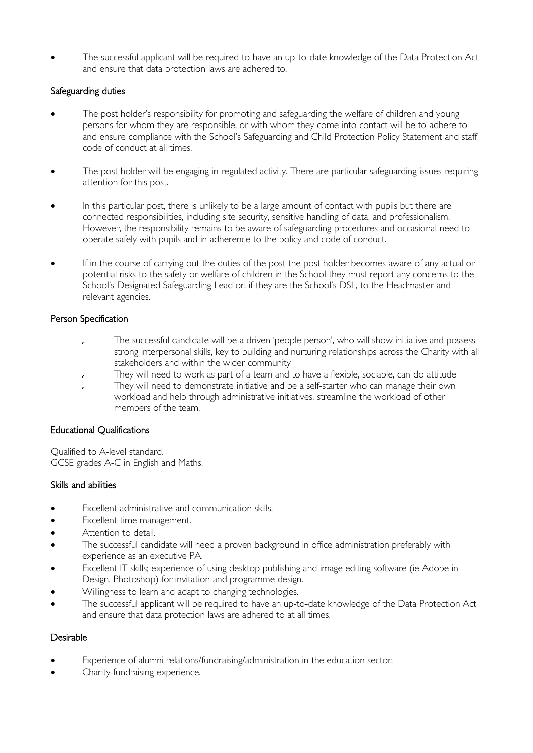The successful applicant will be required to have an up-to-date knowledge of the Data Protection Act and ensure that data protection laws are adhered to.

## Safeguarding duties

- The post holder's responsibility for promoting and safeguarding the welfare of children and young persons for whom they are responsible, or with whom they come into contact will be to adhere to and ensure compliance with the School's Safeguarding and Child Protection Policy Statement and staff code of conduct at all times.
- The post holder will be engaging in regulated activity. There are particular safeguarding issues requiring attention for this post.
- In this particular post, there is unlikely to be a large amount of contact with pupils but there are connected responsibilities, including site security, sensitive handling of data, and professionalism. However, the responsibility remains to be aware of safeguarding procedures and occasional need to operate safely with pupils and in adherence to the policy and code of conduct.
- If in the course of carrying out the duties of the post the post holder becomes aware of any actual or potential risks to the safety or welfare of children in the School they must report any concerns to the School's Designated Safeguarding Lead or, if they are the School's DSL, to the Headmaster and relevant agencies.

# Person Specification

- The successful candidate will be a driven 'people person', who will show initiative and possess J. strong interpersonal skills, key to building and nurturing relationships across the Charity with all stakeholders and within the wider community
- They will need to work as part of a team and to have a flexible, sociable, can-do attitude
- They will need to demonstrate initiative and be a self-starter who can manage their own l, workload and help through administrative initiatives, streamline the workload of other members of the team.

## Educational Qualifications

Qualified to A-level standard. GCSE grades A-C in English and Maths.

## Skills and abilities

- Excellent administrative and communication skills.
- Excellent time management.
- Attention to detail.
- The successful candidate will need a proven background in office administration preferably with experience as an executive PA.
- Excellent IT skills; experience of using desktop publishing and image editing software (ie Adobe in Design, Photoshop) for invitation and programme design.
- Willingness to learn and adapt to changing technologies.
- The successful applicant will be required to have an up-to-date knowledge of the Data Protection Act and ensure that data protection laws are adhered to at all times.

## Desirable

- Experience of alumni relations/fundraising/administration in the education sector.
- Charity fundraising experience.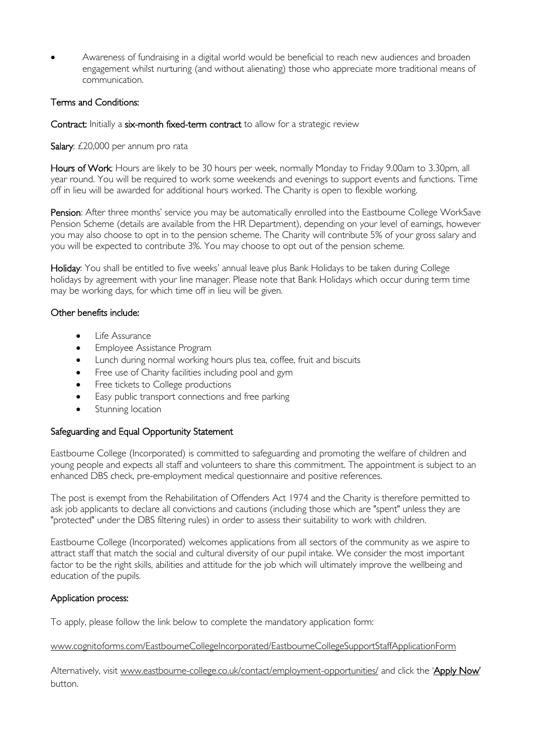Awareness of fundraising in a digital world would be beneficial to reach new audiences and broaden engagement whilst nurturing (and without alienating) those who appreciate more traditional means of communication.

# Terms and Conditions:

#### Contract: Initially a six-month fixed-term contract to allow for a strategic review

Salary: £20,000 per annum pro rata

Hours of Work: Hours are likely to be 30 hours per week, normally Monday to Friday 9.00am to 3.30pm, all year round. You will be required to work some weekends and evenings to support events and functions. Time off in lieu will be awarded for additional hours worked. The Charity is open to flexible working.

Pension: After three months' service you may be automatically enrolled into the Eastbourne College WorkSave Pension Scheme (details are available from the HR Department), depending on your level of earnings, however you may also choose to opt in to the pension scheme. The Charity will contribute 5% of your gross salary and you will be expected to contribute 3%. You may choose to opt out of the pension scheme.

Holiday: You shall be entitled to five weeks' annual leave plus Bank Holidays to be taken during College holidays by agreement with your line manager. Please note that Bank Holidays which occur during term time may be working days, for which time off in lieu will be given.

## Other benefits include:

- Life Assurance
- **•** Employee Assistance Program
- Lunch during normal working hours plus tea, coffee, fruit and biscuits
- Free use of Charity facilities including pool and gym
- Free tickets to College productions
- Easy public transport connections and free parking
- Stunning location

#### Safeguarding and Equal Opportunity Statement

Eastbourne College (Incorporated) is committed to safeguarding and promoting the welfare of children and young people and expects all staff and volunteers to share this commitment. The appointment is subject to an enhanced DBS check, pre-employment medical questionnaire and positive references.

The post is exempt from the Rehabilitation of Offenders Act 1974 and the Charity is therefore permitted to ask job applicants to declare all convictions and cautions (including those which are "spent" unless they are "protected" under the DBS filtering rules) in order to assess their suitability to work with children.

Eastbourne College (Incorporated) welcomes applications from all sectors of the community as we aspire to attract staff that match the social and cultural diversity of our pupil intake. We consider the most important factor to be the right skills, abilities and attitude for the job which will ultimately improve the wellbeing and education of the pupils.

#### Application process:

To apply, please follow the link below to complete the mandatory application form:

www.cognitoforms.com/EastbourneCollegeIncorporated/EastbourneCollegeSupportStaffApplicationForm

Alternatively, visit [www.eastbourne-college.co.uk/contact/employment-opportunities/](http://www.cognitoforms.com/EastbourneCollegeIncorporated/EastbourneCollegeSupportStaffApplicationForm) and click the '[Apply Now](http://www.cognitoforms.com/EastbourneCollegeIncorporated/EastbourneCollegeSupportStaffApplicationForm)' button.